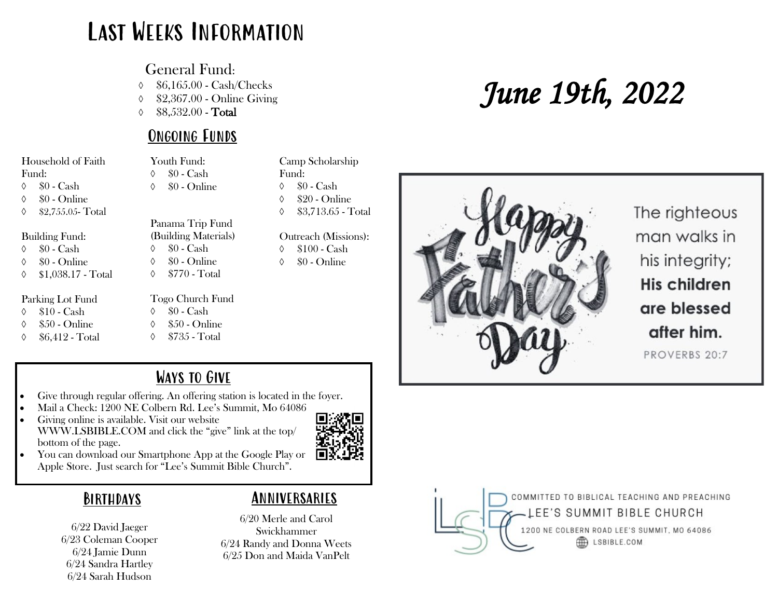## Last Weeks Information

General Fund:

\$6,165.00 - Cash/Checks

\$2,367.00 - Online Giving

 $\lozenge$  \$8,532.00 - Total

### Ongoing Funds

Panama Trip Fund (Building Materials)  $\lozenge$   $\$0$  - Cash  $\lozenge$   $\$0$  - Online  $\lozenge$  \$770 - Total

Youth Fund:  $\lozenge$   $\$0$  - Cash  $\lozenge$   $\$0$  - Online

Household of Faith Fund:

 $\lozenge$   $\$0$  - Cash

 $\lozenge$   $\$0$  - Online

\$2,755.05- Total

#### Building Fund:

- $\lozenge$   $\$0$  Cash
- $\lozenge$  \$0 Online
- \$1,038.17 Total

#### Parking Lot Fund

- $\lozenge$  \$10 Cash
- $\lozenge$  \$50 Online
- $\lozenge$  \$6,412 Total
- Togo Church Fund  $\lozenge$   $\$0$  - Cash  $\lozenge$  \$50 - Online  $\lozenge$  \$735 - Total

#### Camp Scholarship Fund:  $\lozenge$   $\$0$  - Cash  $\lozenge$  \$20 - Online  $\lozenge$  \$3.713.65 - Total

Outreach (Missions):

- $\lozenge$  \$100 Cash
- $\lozenge$   $\$0$  Online

# *June 19th, 2022*



The righteous man walks in his integrity; His children are blessed after him. PROVERBS 20:7

## Ways to Give

- Give through regular offering. An offering station is located in the foyer.
- Mail a Check: 1200 NE Colbern Rd. Lee's Summit, Mo 64086
- Giving online is available. Visit our website WWW.LSBIBLE.COM and click the "give" link at the top/ bottom of the page.



• You can download our Smartphone App at the Google Play or Apple Store. Just search for "Lee's Summit Bible Church".

## **BIRTHDAYS**

6/22 David Jaeger 6/23 Coleman Cooper 6/24 Jamie Dunn 6/24 Sandra Hartley 6/24 Sarah Hudson

## Anniversaries

6/20 Merle and Carol Swickhammer 6/24 Randy and Donna Weets 6/25 Don and Maida VanPelt

COMMITTED TO BIBLICAL TEACHING AND PREACHING EE'S SUMMIT BIBLE CHURCH 1200 NE COLBERN ROAD LEE'S SUMMIT, MO 64086 LSBIBLE.COM